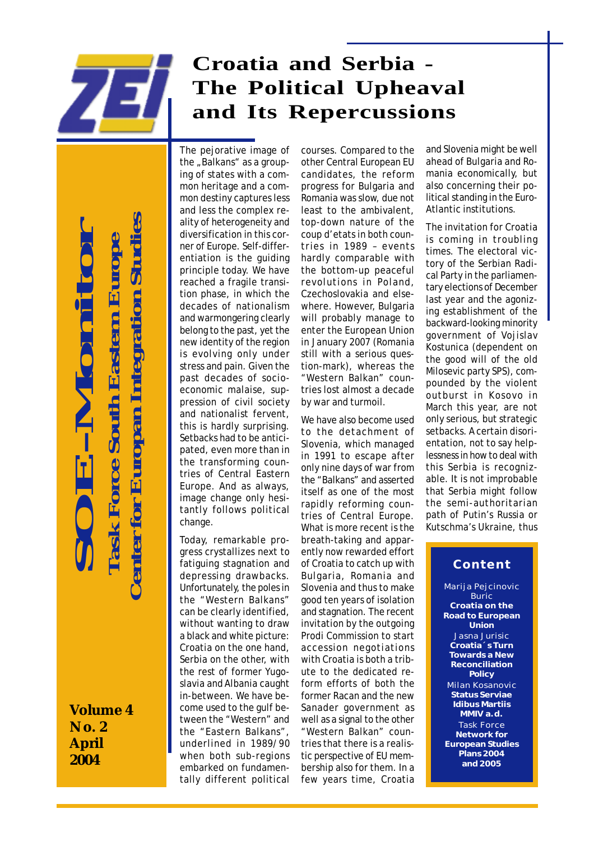

# **Croatia and Serbia-The Political Upheaval and Its Repercussions**

 **Center for Europan Integration Studies SOE-Monitor** enter for Europan Integration Studies  **Task Force South Eastern Europe Task Force South Eastern Europ** 

**Volume 4 No. 2 April 2004**

The pejorative image of the "Balkans" as a grouping of states with a common heritage and a common destiny captures less and less the complex reality of heterogeneity and diversification in this corner of Europe. Self-differentiation is the guiding principle today. We have reached a fragile transition phase, in which the decades of nationalism and warmongering clearly belong to the past, yet the new identity of the region is evolving only under stress and pain. Given the past decades of socioeconomic malaise, suppression of civil society and nationalist fervent, this is hardly surprising. Setbacks had to be anticipated, even more than in the transforming countries of Central Eastern Europe. And as always, image change only hesitantly follows political change.

Today, remarkable progress crystallizes next to fatiguing stagnation and depressing drawbacks. Unfortunately, the poles in the "Western Balkans" can be clearly identified, without wanting to draw a black and white picture: Croatia on the one hand, Serbia on the other, with the rest of former Yugoslavia and Albania caught in-between. We have become used to the gulf between the "Western" and the "Eastern Balkans", underlined in 1989/90 when both sub-regions embarked on fundamentally different political

courses. Compared to the other Central European EU candidates, the reform progress for Bulgaria and Romania was slow, due not least to the ambivalent, top-down nature of the coup d'etats in both countries in 1989 – events hardly comparable with the bottom-up peaceful revolutions in Poland, Czechoslovakia and elsewhere. However, Bulgaria will probably manage to enter the European Union in January 2007 (Romania still with a serious question-mark), whereas the "Western Balkan" countries lost almost a decade by war and turmoil.

We have also become used to the detachment of Slovenia, which managed in 1991 to escape after only nine days of war from the "Balkans" and asserted itself as one of the most rapidly reforming countries of Central Europe. What is more recent is the breath-taking and apparently now rewarded effort of Croatia to catch up with Bulgaria, Romania and Slovenia and thus to make good ten years of isolation and stagnation. The recent invitation by the outgoing Prodi Commission to start accession negotiations with Croatia is both a tribute to the dedicated reform efforts of both the former Racan and the new Sanader government as well as a signal to the other "Western Balkan" countries that there is a realistic perspective of EU membership also for them. In a few years time, Croatia

and Slovenia might be well ahead of Bulgaria and Romania economically, but also concerning their political standing in the Euro-Atlantic institutions.

The invitation for Croatia is coming in troubling times. The electoral victory of the Serbian Radical Party in the parliamentary elections of December last year and the agonizing establishment of the backward-looking minority government of Vojislav Kostunica (dependent on the good will of the old Milosevic party SPS), compounded by the violent outburst in Kosovo in March this year, are not only serious, but strategic setbacks. A certain disorientation, not to say helplessness in how to deal with this Serbia is recognizable. It is not improbable that Serbia might follow the semi-authoritarian path of Putin's Russia or Kutschma's Ukraine, thus

# **Content**

Marija Pejcinovic Buric **Croatia on the Road to European Union** Jasna Jurisic **Croatia´s Turn Towards a New Reconciliation Policy** Milan Kosanovic **Status Serviae Idibus Martiis MMIV a.d.** Task Force **Network for European Studies Plans 2004 and 2005**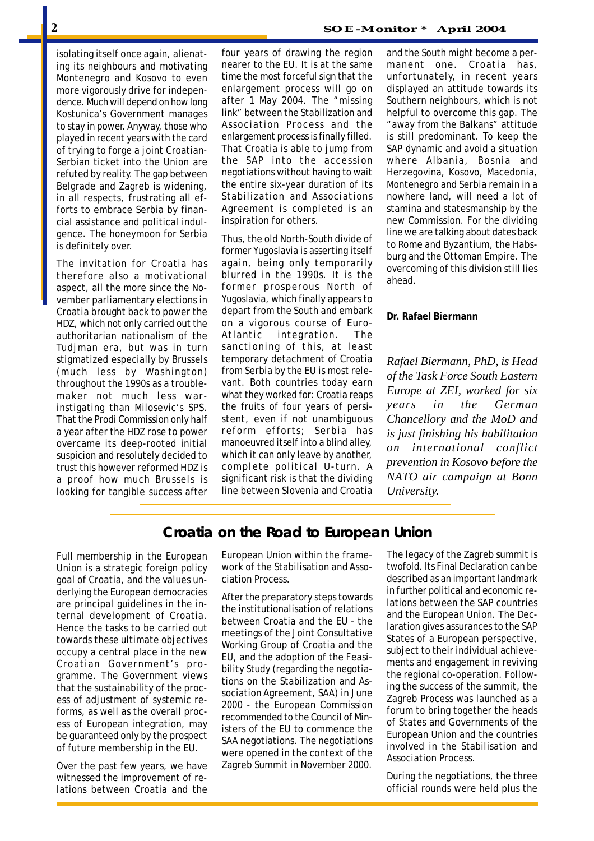isolating itself once again, alienating its neighbours and motivating Montenegro and Kosovo to even more vigorously drive for independence. Much will depend on how long Kostunica's Government manages to stay in power. Anyway, those who played in recent years with the card of trying to forge a joint Croatian-Serbian ticket into the Union are refuted by reality. The gap between Belgrade and Zagreb is widening, in all respects, frustrating all efforts to embrace Serbia by financial assistance and political indulgence. The honeymoon for Serbia is definitely over.

The invitation for Croatia has therefore also a motivational aspect, all the more since the November parliamentary elections in Croatia brought back to power the HDZ, which not only carried out the authoritarian nationalism of the Tudjman era, but was in turn stigmatized especially by Brussels (much less by Washington) throughout the 1990s as a troublemaker not much less warinstigating than Milosevic's SPS. That the Prodi Commission only half a year after the HDZ rose to power overcame its deep-rooted initial suspicion and resolutely decided to trust this however reformed HDZ is a proof how much Brussels is looking for tangible success after

four years of drawing the region nearer to the EU. It is at the same time the most forceful sign that the enlargement process will go on after 1 May 2004. The "missing link" between the Stabilization and Association Process and the enlargement process is finally filled. That Croatia is able to jump from the SAP into the accession negotiations without having to wait the entire six-year duration of its Stabilization and Associations Agreement is completed is an inspiration for others.

Thus, the old North-South divide of former Yugoslavia is asserting itself again, being only temporarily blurred in the 1990s. It is the former prosperous North of Yugoslavia, which finally appears to depart from the South and embark on a vigorous course of Euro-Atlantic integration. The sanctioning of this, at least temporary detachment of Croatia from Serbia by the EU is most relevant. Both countries today earn what they worked for: Croatia reaps the fruits of four years of persistent, even if not unambiguous reform efforts; Serbia has manoeuvred itself into a blind alley, which it can only leave by another, complete political U-turn. A significant risk is that the dividing line between Slovenia and Croatia

and the South might become a permanent one. Croatia has, unfortunately, in recent years displayed an attitude towards its Southern neighbours, which is not helpful to overcome this gap. The "away from the Balkans" attitude is still predominant. To keep the SAP dynamic and avoid a situation where Albania, Bosnia and Herzegovina, Kosovo, Macedonia, Montenegro and Serbia remain in a nowhere land, will need a lot of stamina and statesmanship by the new Commission. For the dividing line we are talking about dates back to Rome and Byzantium, the Habsburg and the Ottoman Empire. The overcoming of this division still lies ahead.

#### **Dr. Rafael Biermann**

*Rafael Biermann, PhD, is Head of the Task Force South Eastern Europe at ZEI, worked for six years in the German Chancellory and the MoD and is just finishing his habilitation on international conflict prevention in Kosovo before the NATO air campaign at Bonn University.*

## **Croatia on the Road to European Union**

Full membership in the European Union is a strategic foreign policy goal of Croatia, and the values underlying the European democracies are principal guidelines in the internal development of Croatia. Hence the tasks to be carried out towards these ultimate objectives occupy a central place in the new Croatian Government's programme. The Government views that the sustainability of the process of adjustment of systemic reforms, as well as the overall process of European integration, may be guaranteed only by the prospect of future membership in the EU.

Over the past few years, we have witnessed the improvement of relations between Croatia and the

European Union within the framework of the Stabilisation and Association Process.

After the preparatory steps towards the institutionalisation of relations between Croatia and the EU - the meetings of the Joint Consultative Working Group of Croatia and the EU, and the adoption of the Feasibility Study (regarding the negotiations on the Stabilization and Association Agreement, SAA) in June 2000 - the European Commission recommended to the Council of Ministers of the EU to commence the SAA negotiations. The negotiations were opened in the context of the Zagreb Summit in November 2000.

The legacy of the Zagreb summit is twofold. Its Final Declaration can be described as an important landmark in further political and economic relations between the SAP countries and the European Union. The Declaration gives assurances to the SAP States of a European perspective, subject to their individual achievements and engagement in reviving the regional co-operation. Following the success of the summit, the Zagreb Process was launched as a forum to bring together the heads of States and Governments of the European Union and the countries involved in the Stabilisation and Association Process.

During the negotiations, the three official rounds were held plus the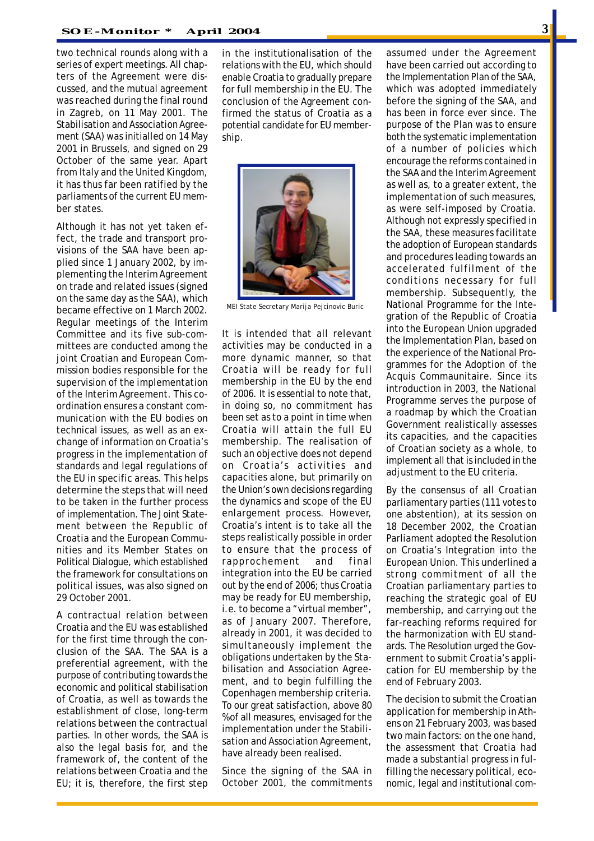two technical rounds along with a series of expert meetings. All chapters of the Agreement were discussed, and the mutual agreement was reached during the final round in Zagreb, on 11 May 2001. The Stabilisation and Association Agreement (SAA) was initialled on 14 May 2001 in Brussels, and signed on 29 October of the same year. Apart from Italy and the United Kingdom, it has thus far been ratified by the parliaments of the current EU member states.

Although it has not yet taken effect, the trade and transport provisions of the SAA have been applied since 1 January 2002, by implementing the Interim Agreement on trade and related issues (signed on the same day as the SAA), which became effective on 1 March 2002. Regular meetings of the Interim Committee and its five sub-committees are conducted among the joint Croatian and European Commission bodies responsible for the supervision of the implementation of the Interim Agreement. This coordination ensures a constant communication with the EU bodies on technical issues, as well as an exchange of information on Croatia's progress in the implementation of standards and legal regulations of the EU in specific areas. This helps determine the steps that will need to be taken in the further process of implementation. The Joint Statement between the Republic of Croatia and the European Communities and its Member States on Political Dialogue, which established the framework for consultations on political issues, was also signed on 29 October 2001.

A contractual relation between Croatia and the EU was established for the first time through the conclusion of the SAA. The SAA is a preferential agreement, with the purpose of contributing towards the economic and political stabilisation of Croatia, as well as towards the establishment of close, long-term relations between the contractual parties. In other words, the SAA is also the legal basis for, and the framework of, the content of the relations between Croatia and the EU; it is, therefore, the first step in the institutionalisation of the relations with the EU, which should enable Croatia to gradually prepare for full membership in the EU. The conclusion of the Agreement confirmed the status of Croatia as a potential candidate for EU membership.



 *MEI State Secretary Marija Pejcinovic Buric*

It is intended that all relevant activities may be conducted in a more dynamic manner, so that Croatia will be ready for full membership in the EU by the end of 2006. It is essential to note that, in doing so, no commitment has been set as to a point in time when Croatia will attain the full EU membership. The realisation of such an objective does not depend on Croatia's activities and capacities alone, but primarily on the Union's own decisions regarding the dynamics and scope of the EU enlargement process. However, Croatia's intent is to take all the steps realistically possible in order to ensure that the process of rapprochement and final integration into the EU be carried out by the end of 2006; thus Croatia may be ready for EU membership, i.e. to become a "virtual member", as of January 2007. Therefore, already in 2001, it was decided to simultaneously implement the obligations undertaken by the Stabilisation and Association Agreement, and to begin fulfilling the Copenhagen membership criteria. To our great satisfaction, above 80 % of all measures, envisaged for the implementation under the Stabilisation and Association Agreement, have already been realised.

Since the signing of the SAA in October 2001, the commitments assumed under the Agreement have been carried out according to the Implementation Plan of the SAA, which was adopted immediately before the signing of the SAA, and has been in force ever since. The purpose of the Plan was to ensure both the systematic implementation of a number of policies which encourage the reforms contained in the SAA and the Interim Agreement as well as, to a greater extent, the implementation of such measures, as were self-imposed by Croatia. Although not expressly specified in the SAA, these measures facilitate the adoption of European standards and procedures leading towards an accelerated fulfilment of the conditions necessary for full membership. Subsequently, the National Programme for the Integration of the Republic of Croatia into the European Union upgraded the Implementation Plan, based on the experience of the National Programmes for the Adoption of the Acquis Commaunitaire. Since its introduction in 2003, the National Programme serves the purpose of a roadmap by which the Croatian Government realistically assesses its capacities, and the capacities of Croatian society as a whole, to implement all that is included in the adjustment to the EU criteria.

By the consensus of all Croatian parliamentary parties (111 votes to one abstention), at its session on 18 December 2002, the Croatian Parliament adopted the Resolution on Croatia's Integration into the European Union. This underlined a strong commitment of all the Croatian parliamentary parties to reaching the strategic goal of EU membership, and carrying out the far-reaching reforms required for the harmonization with EU standards. The Resolution urged the Government to submit Croatia's application for EU membership by the end of February 2003.

The decision to submit the Croatian application for membership in Athens on 21 February 2003, was based two main factors: on the one hand, the assessment that Croatia had made a substantial progress in fulfilling the necessary political, economic, legal and institutional com-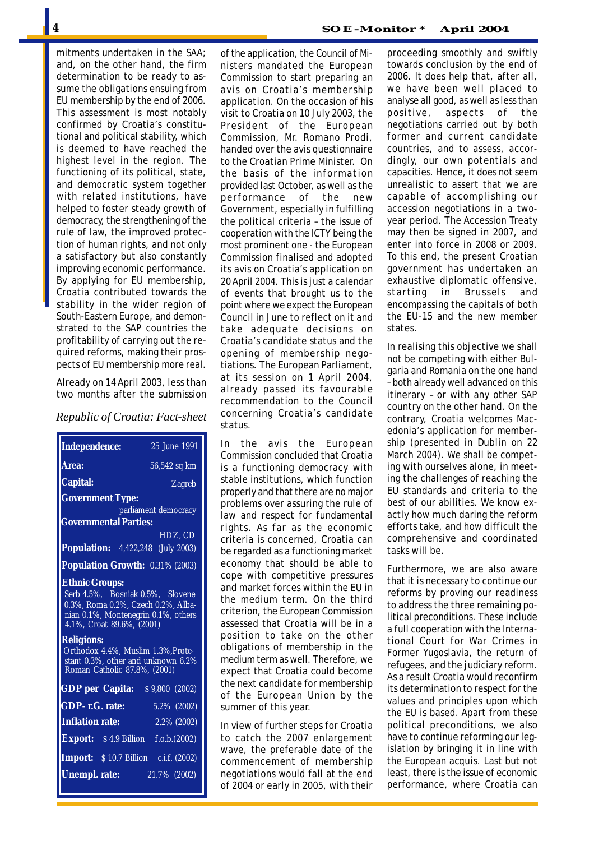mitments undertaken in the SAA; and, on the other hand, the firm determination to be ready to assume the obligations ensuing from EU membership by the end of 2006. This assessment is most notably confirmed by Croatia's constitutional and political stability, which is deemed to have reached the highest level in the region. The functioning of its political, state, and democratic system together with related institutions, have helped to foster steady growth of democracy, the strengthening of the rule of law, the improved protection of human rights, and not only a satisfactory but also constantly improving economic performance. By applying for EU membership, Croatia contributed towards the stability in the wider region of South-Eastern Europe, and demonstrated to the SAP countries the profitability of carrying out the required reforms, making their prospects of EU membership more real.

Already on 14 April 2003, less than two months after the submission

## *Republic of Croatia: Fact-sheet*

| <b>Independence:</b>                                                                                                                                                                                                                                                                                 | 25 June 1991  |  |
|------------------------------------------------------------------------------------------------------------------------------------------------------------------------------------------------------------------------------------------------------------------------------------------------------|---------------|--|
| Area:                                                                                                                                                                                                                                                                                                | 56,542 sq km  |  |
| <b>Capital:</b>                                                                                                                                                                                                                                                                                      | <b>Zagreb</b> |  |
| <b>Government Type:</b>                                                                                                                                                                                                                                                                              |               |  |
| parliament democracy<br><b>Governmental Parties:</b>                                                                                                                                                                                                                                                 |               |  |
|                                                                                                                                                                                                                                                                                                      | HDZ. CD       |  |
| <b>Population:</b> 4,422,248 (July 2003)                                                                                                                                                                                                                                                             |               |  |
| Population Growth: 0.31% (2003)                                                                                                                                                                                                                                                                      |               |  |
| <b>Ethnic Groups:</b><br>Serb 4.5%, Bosniak 0.5%, Slovene<br>0.3%, Roma 0.2%, Czech 0.2%, Alba-<br>nian 0.1%, Montenegrin 0.1%, others<br>4.1%, Croat 89.6%, (2001)<br><b>Religions:</b><br>Orthodox 4.4%, Muslim 1.3%, Prote-<br>stant 0.3%, other and unknown 6.2%<br>Roman Catholic 87.8%, (2001) |               |  |
| <b>GDP</b> per Capita:                                                                                                                                                                                                                                                                               | \$9,800(2002) |  |
| GDP-r.G. rate:                                                                                                                                                                                                                                                                                       | 5.2% (2002)   |  |
| <b>Inflation rate:</b>                                                                                                                                                                                                                                                                               | 2.2% (2002)   |  |
| <b>Export:</b> \$4.9 Billion f.o.b.(2002)                                                                                                                                                                                                                                                            |               |  |
| <b>Import:</b> \$10.7 Billion c.i.f. (2002)                                                                                                                                                                                                                                                          |               |  |
| <b>Unempl. rate:</b>                                                                                                                                                                                                                                                                                 | 21.7% (2002)  |  |

of the application, the Council of Ministers mandated the European Commission to start preparing an avis on Croatia's membership application. On the occasion of his visit to Croatia on 10 July 2003, the President of the European Commission, Mr. Romano Prodi, handed over the avis questionnaire to the Croatian Prime Minister. On the basis of the information provided last October, as well as the performance of the new Government, especially in fulfilling the political criteria – the issue of cooperation with the ICTY being the most prominent one - the European Commission finalised and adopted its avis on Croatia's application on 20 April 2004. This is just a calendar of events that brought us to the point where we expect the European Council in June to reflect on it and take adequate decisions on Croatia's candidate status and the opening of membership negotiations. The European Parliament, at its session on 1 April 2004, already passed its favourable recommendation to the Council concerning Croatia's candidate status.

In the avis the European Commission concluded that Croatia is a functioning democracy with stable institutions, which function properly and that there are no major problems over assuring the rule of law and respect for fundamental rights. As far as the economic criteria is concerned, Croatia can be regarded as a functioning market economy that should be able to cope with competitive pressures and market forces within the EU in the medium term. On the third criterion, the European Commission assessed that Croatia will be in a position to take on the other obligations of membership in the medium term as well. Therefore, we expect that Croatia could become the next candidate for membership of the European Union by the summer of this year.

In view of further steps for Croatia to catch the 2007 enlargement wave, the preferable date of the commencement of membership negotiations would fall at the end of 2004 or early in 2005, with their

proceeding smoothly and swiftly towards conclusion by the end of 2006. It does help that, after all, we have been well placed to analyse all good, as well as less than positive, aspects of the negotiations carried out by both former and current candidate countries, and to assess, accordingly, our own potentials and capacities. Hence, it does not seem unrealistic to assert that we are capable of accomplishing our accession negotiations in a twoyear period. The Accession Treaty may then be signed in 2007, and enter into force in 2008 or 2009. To this end, the present Croatian government has undertaken an exhaustive diplomatic offensive, starting in Brussels and encompassing the capitals of both the EU-15 and the new member states.

In realising this objective we shall not be competing with either Bulgaria and Romania on the one hand – both already well advanced on this itinerary – or with any other SAP country on the other hand. On the contrary, Croatia welcomes Macedonia's application for membership (presented in Dublin on 22 March 2004). We shall be competing with ourselves alone, in meeting the challenges of reaching the EU standards and criteria to the best of our abilities. We know exactly how much daring the reform efforts take, and how difficult the comprehensive and coordinated tasks will be.

Furthermore, we are also aware that it is necessary to continue our reforms by proving our readiness to address the three remaining political preconditions. These include a full cooperation with the International Court for War Crimes in Former Yugoslavia, the return of refugees, and the judiciary reform. As a result Croatia would reconfirm its determination to respect for the values and principles upon which the EU is based. Apart from these political preconditions, we also have to continue reforming our legislation by bringing it in line with the European *acquis*. Last but not least, there is the issue of economic performance, where Croatia can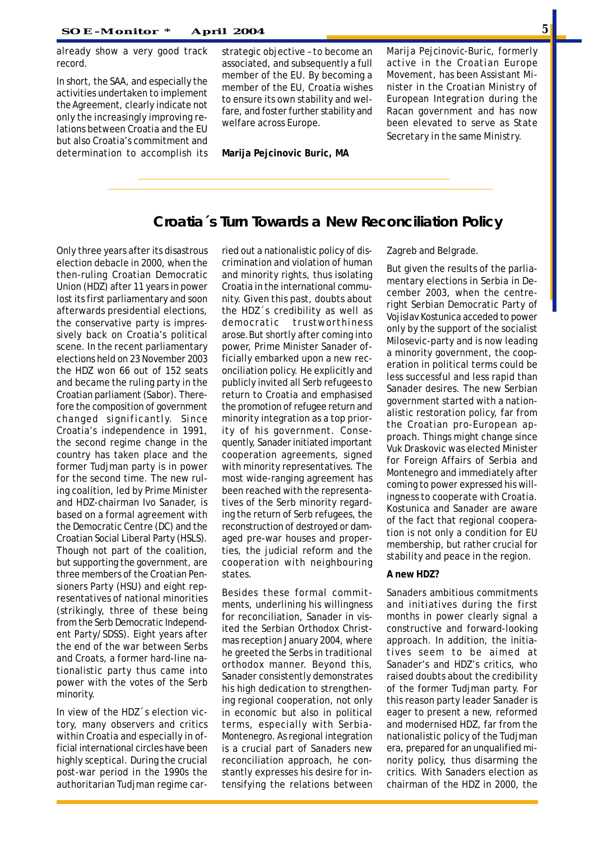already show a very good track record.

In short, the SAA, and especially the activities undertaken to implement the Agreement, clearly indicate not only the increasingly improving relations between Croatia and the EU but also Croatia's commitment and determination to accomplish its strategic objective – to become an associated, and subsequently a full member of the EU. By becoming a member of the EU, Croatia wishes to ensure its own stability and welfare, and foster further stability and welfare across Europe.

**Marija Pejcinovic Buric, MA**

*Marija Pejcinovic-Buric, formerly active in the Croatian Europe Movement, has been Assistant Minister in the Croatian Ministry of European Integration during the Racan government and has now been elevated to serve as State Secretary in the same Ministry.*

# **Croatia´s Turn Towards a New Reconciliation Policy**

Only three years after its disastrous election debacle in 2000, when the then-ruling Croatian Democratic Union (HDZ) after 11 years in power lost its first parliamentary and soon afterwards presidential elections, the conservative party is impressively back on Croatia's political scene. In the recent parliamentary elections held on 23 November 2003 the HDZ won 66 out of 152 seats and became the ruling party in the Croatian parliament (Sabor). Therefore the composition of government changed significantly. Since Croatia's independence in 1991, the second regime change in the country has taken place and the former Tudjman party is in power for the second time. The new ruling coalition, led by Prime Minister and HDZ-chairman Ivo Sanader, is based on a formal agreement with the Democratic Centre (DC) and the Croatian Social Liberal Party (HSLS). Though not part of the coalition, but supporting the government, are three members of the Croatian Pensioners Party (HSU) and eight representatives of national minorities (strikingly, three of these being from the Serb Democratic Independent Party/SDSS). Eight years after the end of the war between Serbs and Croats, a former hard-line nationalistic party thus came into power with the votes of the Serb minority.

In view of the HDZ´s election victory, many observers and critics within Croatia and especially in official international circles have been highly sceptical. During the crucial post-war period in the 1990s the authoritarian Tudjman regime carried out a nationalistic policy of discrimination and violation of human and minority rights, thus isolating Croatia in the international community. Given this past, doubts about the HDZ´s credibility as well as democratic trustworthiness arose.But shortly after coming into power, Prime Minister Sanader officially embarked upon a new reconciliation policy. He explicitly and publicly invited all Serb refugees to return to Croatia and emphasised the promotion of refugee return and minority integration as a top priority of his government. Consequently, Sanader initiated important cooperation agreements, signed with minority representatives. The most wide-ranging agreement has been reached with the representatives of the Serb minority regarding the return of Serb refugees, the reconstruction of destroyed or damaged pre-war houses and properties, the judicial reform and the cooperation with neighbouring states.

Besides these formal commitments, underlining his willingness for reconciliation, Sanader in visited the Serbian Orthodox Christmas reception January 2004, where he greeted the Serbs in traditional orthodox manner. Beyond this, Sanader consistently demonstrates his high dedication to strengthening regional cooperation, not only in economic but also in political terms, especially with Serbia-Montenegro. As regional integration is a crucial part of Sanaders new reconciliation approach, he constantly expresses his desire for intensifying the relations between Zagreb and Belgrade.

But given the results of the parliamentary elections in Serbia in December 2003, when the centreright Serbian Democratic Party of Vojislav Kostunica acceded to power only by the support of the socialist Milosevic-party and is now leading a minority government, the cooperation in political terms could be less successful and less rapid than Sanader desires. The new Serbian government started with a nationalistic restoration policy, far from the Croatian pro-European approach. Things might change since Vuk Draskovic was elected Minister for Foreign Affairs of Serbia and Montenegro and immediately after coming to power expressed his willingness to cooperate with Croatia. Kostunica and Sanader are aware of the fact that regional cooperation is not only a condition for EU membership, but rather crucial for stability and peace in the region.

#### **A new HDZ?**

Sanaders ambitious commitments and initiatives during the first months in power clearly signal a constructive and forward-looking approach. In addition, the initiatives seem to be aimed at Sanader's and HDZ's critics, who raised doubts about the credibility of the former Tudjman party. For this reason party leader Sanader is eager to present a new, reformed and modernised HDZ, far from the nationalistic policy of the Tudjman era, prepared for an unqualified minority policy, thus disarming the critics. With Sanaders election as chairman of the HDZ in 2000, the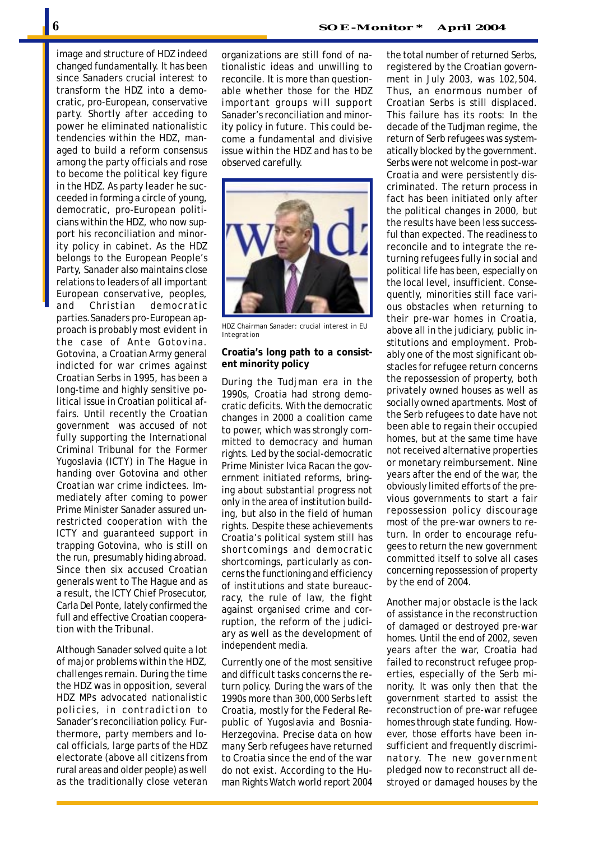image and structure of HDZ indeed changed fundamentally. It has been since Sanaders crucial interest to transform the HDZ into a democratic, pro-European, conservative party. Shortly after acceding to power he eliminated nationalistic tendencies within the HDZ, managed to build a reform consensus among the party officials and rose to become the political key figure in the HDZ. As party leader he succeeded in forming a circle of young, democratic, pro-European politicians within the HDZ, who now support his reconciliation and minority policy in cabinet. As the HDZ belongs to the European People's Party, Sanader also maintains close relations to leaders of all important European conservative, peoples, and Christian democratic parties.Sanaders pro-European approach is probably most evident in the case of Ante Gotovina. Gotovina, a Croatian Army general indicted for war crimes against Croatian Serbs in 1995, has been a long-time and highly sensitive political issue in Croatian political affairs. Until recently the Croatian government was accused of not fully supporting the International Criminal Tribunal for the Former Yugoslavia (ICTY) in The Hague in handing over Gotovina and other Croatian war crime indictees. Immediately after coming to power Prime Minister Sanader assured unrestricted cooperation with the ICTY and guaranteed support in trapping Gotovina, who is still on the run, presumably hiding abroad. Since then six accused Croatian generals went to The Hague and as a result, the ICTY Chief Prosecutor, Carla Del Ponte, lately confirmed the full and effective Croatian cooperation with the Tribunal.

Although Sanader solved quite a lot of major problems within the HDZ, challenges remain. During the time the HDZ was in opposition, several HDZ MPs advocated nationalistic policies, in contradiction to Sanader's reconciliation policy. Furthermore, party members and local officials, large parts of the HDZ electorate (above all citizens from rural areas and older people) as well as the traditionally close veteran organizations are still fond of nationalistic ideas and unwilling to reconcile. It is more than questionable whether those for the HDZ important groups will support Sanader's reconciliation and minority policy in future. This could become a fundamental and divisive issue within the HDZ and has to be observed carefully.



*HDZ Chairman Sanader: crucial interest in EU Integration*

## **Croatia's long path to a consistent minority policy**

During the Tudjman era in the 1990s, Croatia had strong democratic deficits. With the democratic changes in 2000 a coalition came to power, which was strongly committed to democracy and human rights. Led by the social-democratic Prime Minister Ivica Racan the government initiated reforms, bringing about substantial progress not only in the area of institution building, but also in the field of human rights. Despite these achievements Croatia's political system still has shortcomings and democratic shortcomings, particularly as concerns the functioning and efficiency of institutions and state bureaucracy, the rule of law, the fight against organised crime and corruption, the reform of the judiciary as well as the development of independent media.

Currently one of the most sensitive and difficult tasks concerns the return policy. During the wars of the 1990s more than 300,000 Serbs left Croatia, mostly for the Federal Republic of Yugoslavia and Bosnia-Herzegovina. Precise data on how many Serb refugees have returned to Croatia since the end of the war do not exist. According to the Human Rights Watch world report 2004

the total number of returned Serbs, registered by the Croatian government in July 2003, was 102,504. Thus, an enormous number of Croatian Serbs is still displaced. This failure has its roots: In the decade of the Tudjman regime, the return of Serb refugees was systematically blocked by the government. Serbs were not welcome in post-war Croatia and were persistently discriminated. The return process in fact has been initiated only after the political changes in 2000, but the results have been less successful than expected. The readiness to reconcile and to integrate the returning refugees fully in social and political life has been, especially on the local level, insufficient. Consequently, minorities still face various obstacles when returning to their pre-war homes in Croatia, above all in the judiciary, public institutions and employment. Probably one of the most significant obstacles for refugee return concerns the repossession of property, both privately owned houses as well as socially owned apartments. Most of the Serb refugees to date have not been able to regain their occupied homes, but at the same time have not received alternative properties or monetary reimbursement. Nine years after the end of the war, the obviously limited efforts of the previous governments to start a fair repossession policy discourage most of the pre-war owners to return. In order to encourage refugees to return the new government committed itself to solve all cases concerning repossession of property by the end of 2004.

Another major obstacle is the lack of assistance in the reconstruction of damaged or destroyed pre-war homes. Until the end of 2002, seven years after the war, Croatia had failed to reconstruct refugee properties, especially of the Serb minority. It was only then that the government started to assist the reconstruction of pre-war refugee homes through state funding. However, those efforts have been insufficient and frequently discriminatory. The new government pledged now to reconstruct all destroyed or damaged houses by the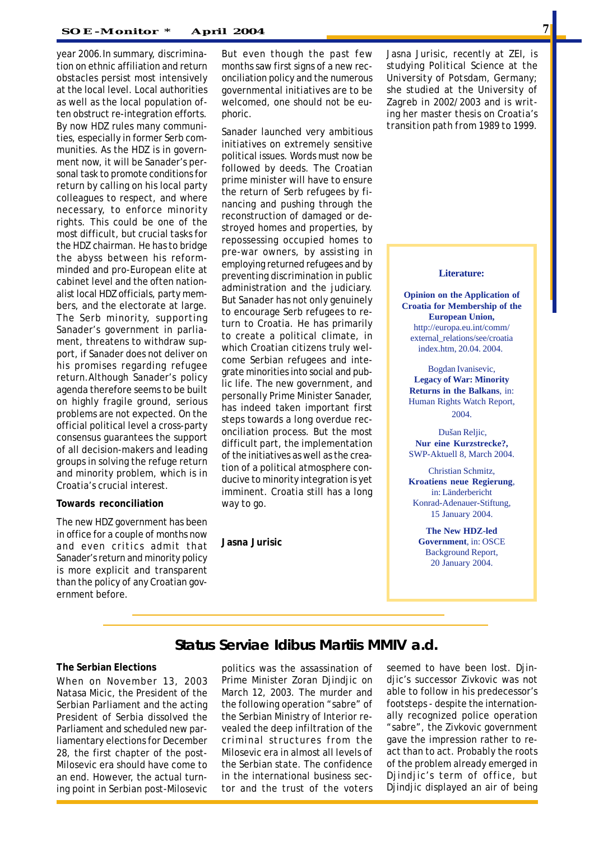year 2006.In summary, discrimination on ethnic affiliation and return obstacles persist most intensively at the local level. Local authorities as well as the local population often obstruct re-integration efforts. By now HDZ rules many communities, especially in former Serb communities. As the HDZ is in government now, it will be Sanader's personal task to promote conditions for return by calling on his local party colleagues to respect, and where necessary, to enforce minority rights. This could be one of the most difficult, but crucial tasks for the HDZ chairman. He has to bridge the abyss between his reformminded and pro-European elite at cabinet level and the often nationalist local HDZ officials, party members, and the electorate at large. The Serb minority, supporting Sanader's government in parliament, threatens to withdraw support, if Sanader does not deliver on his promises regarding refugee return.Although Sanader's policy agenda therefore seems to be built on highly fragile ground, serious problems are not expected. On the official political level a cross-party consensus guarantees the support of all decision-makers and leading groups in solving the refuge return and minority problem, which is in Croatia's crucial interest.

#### **Towards reconciliation**

The new HDZ government has been in office for a couple of months now and even critics admit that Sanader's return and minority policy is more explicit and transparent than the policy of any Croatian government before.

But even though the past few months saw first signs of a new reconciliation policy and the numerous governmental initiatives are to be welcomed, one should not be euphoric.

Sanader launched very ambitious initiatives on extremely sensitive political issues. Words must now be followed by deeds. The Croatian prime minister will have to ensure the return of Serb refugees by financing and pushing through the reconstruction of damaged or destroyed homes and properties, by repossessing occupied homes to pre-war owners, by assisting in employing returned refugees and by preventing discrimination in public administration and the judiciary. But Sanader has not only genuinely to encourage Serb refugees to return to Croatia. He has primarily to create a political climate, in which Croatian citizens truly welcome Serbian refugees and integrate minorities into social and public life. The new government, and personally Prime Minister Sanader, has indeed taken important first steps towards a long overdue reconciliation process. But the most difficult part, the implementation of the initiatives as well as the creation of a political atmosphere conducive to minority integration is yet imminent. Croatia still has a long way to go.

**Jasna Jurisic**

*Jasna Jurisic, recently at ZEI, is studying Political Science at the University of Potsdam, Germany; she studied at the University of Zagreb in 2002/2003 and is writing her master thesis on Croatia's transition path from 1989 to 1999.*

#### **Literature:**

**Opinion on the Application of Croatia for Membership of the European Union,** http://europa.eu.int/comm/ external\_relations/see/croatia index.htm, 20.04. 2004.

Bogdan Ivanisevic, **Legacy of War: Minority Returns in the Balkans**, in: Human Rights Watch Report, 2004.

Dušan Reliic, **Nur eine Kurzstrecke?,** SWP-Aktuell 8, March 2004.

Christian Schmitz, **Kroatiens neue Regierung**, in: Länderbericht Konrad-Adenauer-Stiftung, 15 January 2004.

**The New HDZ-led Government**, in: OSCE Background Report, 20 January 2004.

## **Status Serviae Idibus Martiis MMIV a.d.**

#### **The Serbian Elections**

When on November 13, 2003 Natasa Micic, the President of the Serbian Parliament and the acting President of Serbia dissolved the Parliament and scheduled new parliamentary elections for December 28, the first chapter of the post-Milosevic era should have come to an end. However, the actual turning point in Serbian post-Milosevic politics was the assassination of Prime Minister Zoran Djindjic on March 12, 2003. The murder and the following operation "sabre" of the Serbian Ministry of Interior revealed the deep infiltration of the criminal structures from the Milosevic era in almost all levels of the Serbian state. The confidence in the international business sector and the trust of the voters seemed to have been lost. Djindjic's successor Zivkovic was not able to follow in his predecessor's footsteps - despite the internationally recognized police operation "sabre", the Zivkovic government gave the impression rather to react than to act. Probably the roots of the problem already emerged in Djindjic's term of office, but Djindjic displayed an air of being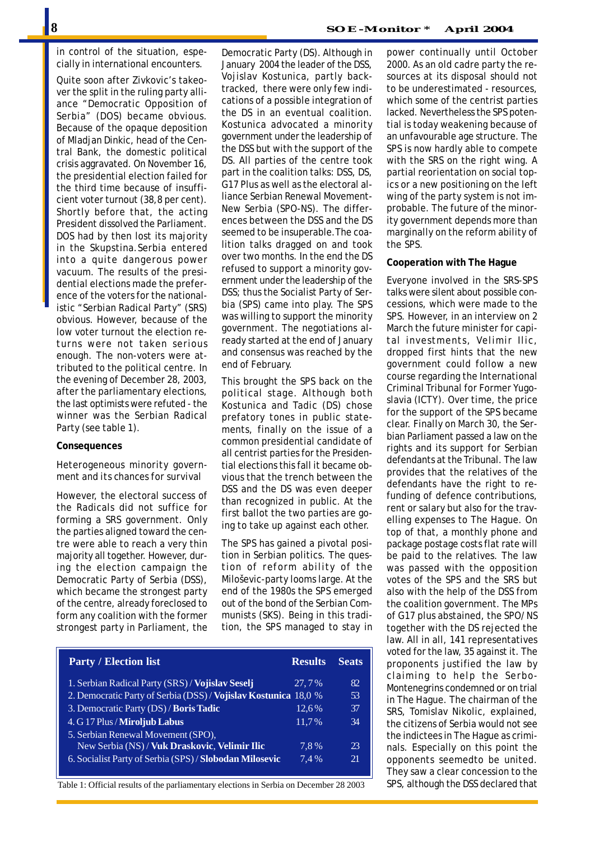Quite soon after Zivkovic's takeover the split in the ruling party alliance "Democratic Opposition of Serbia" (DOS) became obvious. Because of the opaque deposition of Mladjan Dinkic, head of the Central Bank, the domestic political crisis aggravated. On November 16, the presidential election failed for the third time because of insufficient voter turnout (38,8 per cent). Shortly before that, the acting President dissolved the Parliament. DOS had by then lost its majority in the Skupstina.Serbia entered into a quite dangerous power vacuum. The results of the presidential elections made the preference of the voters for the nationalistic "Serbian Radical Party" (SRS) obvious. However, because of the low voter turnout the election returns were not taken serious enough. The non-voters were attributed to the political centre. In the evening of December 28, 2003, after the parliamentary elections, the last optimists were refuted - the winner was the Serbian Radical Party (see table 1).

#### **Consequences**

#### *Heterogeneous minority government and its chances for survival*

However, the electoral success of the Radicals did not suffice for forming a SRS government. Only the parties aligned toward the centre were able to reach a very thin majority all together. However, during the election campaign the Democratic Party of Serbia (DSS), which became the strongest party of the centre, already foreclosed to form any coalition with the former strongest party in Parliament, the

refused to support a minority gov-Democratic Party (DS). Although in January 2004 the leader of the DSS, Vojislav Kostunica, partly backtracked, there were only few indications of a possible integration of the DS in an eventual coalition. Kostunica advocated a minority government under the leadership of the DSS but with the support of the DS. All parties of the centre took part in the coalition talks: DSS, DS, G17 Plus as well as the electoral alliance Serbian Renewal Movement-New Serbia (SPO-NS). The differences between the DSS and the DS seemed to be insuperable.The coalition talks dragged on and took over two months. In the end the DS ernment under the leadership of the DSS; thus the Socialist Party of Serbia (SPS) came into play. The SPS was willing to support the minority government. The negotiations already started at the end of January and consensus was reached by the end of February.

This brought the SPS back on the political stage. Although both Kostunica and Tadic (DS) chose prefatory tones in public statements, finally on the issue of a common presidential candidate of all centrist parties for the Presidential elections this fall it became obvious that the trench between the DSS and the DS was even deeper than recognized in public. At the first ballot the two parties are going to take up against each other.

The SPS has gained a pivotal position in Serbian politics. The question of reform ability of the Miloševic-party looms large. At the end of the 1980s the SPS emerged out of the bond of the Serbian Communists (SKS). Being in this tradition, the SPS managed to stay in

| <b>Party / Election list</b>                                    | <b>Results</b> | <b>Seats</b> |
|-----------------------------------------------------------------|----------------|--------------|
| 1. Serbian Radical Party (SRS) / Vojislav Seselj                | 27,7%          | 82           |
| 2. Democratic Party of Serbia (DSS) / Vojislav Kostunica 18,0 % |                | 53           |
| 3. Democratic Party (DS) / Boris Tadic                          | 12.6%          | 37           |
| 4. G 17 Plus / Miroljub Labus                                   | 11,7%          | 34           |
| 5. Serbian Renewal Movement (SPO),                              |                |              |
| New Serbia (NS) / Vuk Draskovic, Velimir Ilic                   | 7.8%           | 23           |
| 6. Socialist Party of Serbia (SPS) / Slobodan Milosevic         | 7.4%           | 21           |

Table 1: Official results of the parliamentary elections in Serbia on December 28 2003

power continually until October 2000. As an old cadre party the resources at its disposal should not to be underestimated - resources, which some of the centrist parties lacked. Nevertheless the SPS potential is today weakening because of an unfavourable age structure. The SPS is now hardly able to compete with the SRS on the right wing. A partial reorientation on social topics or a new positioning on the left wing of the party system is not improbable. The future of the minority government depends more than marginally on the reform ability of the SPS.

#### **Cooperation with The Hague**

Everyone involved in the SRS-SPS talks were silent about possible concessions, which were made to the SPS. However, in an interview on 2 March the future minister for capital investments, Velimir Ilic, dropped first hints that the new government could follow a new course regarding the International Criminal Tribunal for Former Yugoslavia (ICTY). Over time, the price for the support of the SPS became clear. Finally on March 30, the Serbian Parliament passed a law on the rights and its support for Serbian defendants at the Tribunal. The law provides that the relatives of the defendants have the right to refunding of defence contributions, rent or salary but also for the travelling expenses to The Hague. On top of that, a monthly phone and package postage costs flat rate will be paid to the relatives. The law was passed with the opposition votes of the SPS and the SRS but also with the help of the DSS from the coalition government. The MPs of G17 plus abstained, the SPO/NS together with the DS rejected the law. All in all, 141 representatives voted for the law, 35 against it. The proponents justified the law by claiming to help the Serbo-Montenegrins condemned or on trial in The Hague. The chairman of the SRS, Tomislav Nikolic, explained, the citizens of Serbia would not see the indictees in The Hague as criminals. Especially on this point the opponents seemedto be united. They saw a clear concession to the SPS, although the DSS declared that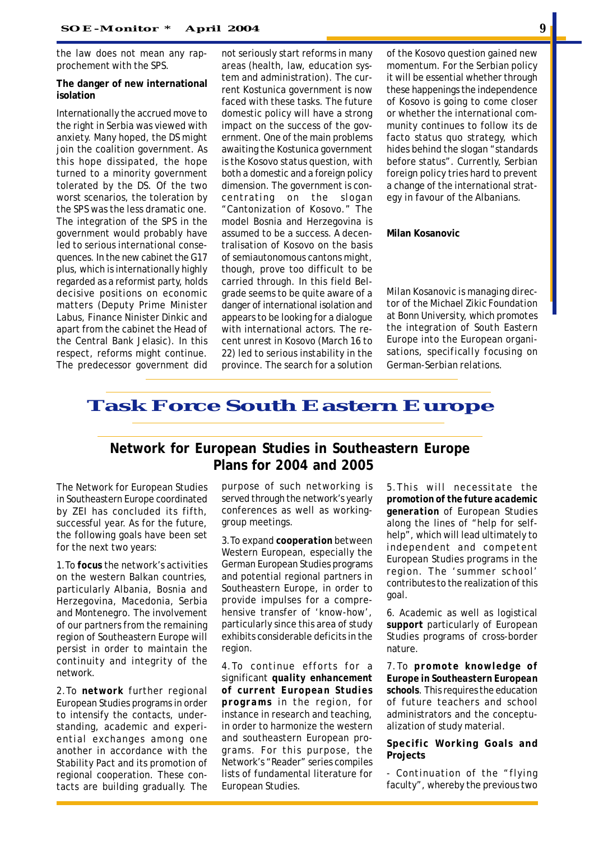the law does not mean any rapprochement with the SPS.

## **The danger of new international isolation**

Internationally the accrued move to the right in Serbia was viewed with anxiety. Many hoped, the DS might join the coalition government. As this hope dissipated, the hope turned to a minority government tolerated by the DS. Of the two worst scenarios, the toleration by the SPS was the less dramatic one. The integration of the SPS in the government would probably have led to serious international consequences. In the new cabinet the G17 plus, which is internationally highly regarded as a reformist party, holds decisive positions on economic matters (Deputy Prime Minister Labus, Finance Ninister Dinkic and apart from the cabinet the Head of the Central Bank Jelasic). In this respect, reforms might continue. The predecessor government did not seriously start reforms in many areas (health, law, education system and administration). The current Kostunica government is now faced with these tasks. The future domestic policy will have a strong impact on the success of the government. One of the main problems awaiting the Kostunica government is the Kosovo status question, with both a domestic and a foreign policy dimension. The government is concentrating on the slogan "Cantonization of Kosovo." The model Bosnia and Herzegovina is assumed to be a success. A decentralisation of Kosovo on the basis of semiautonomous cantons might, though, prove too difficult to be carried through. In this field Belgrade seems to be quite aware of a danger of international isolation and appears to be looking for a dialogue with international actors. The recent unrest in Kosovo (March 16 to 22) led to serious instability in the province. The search for a solution of the Kosovo question gained new momentum. For the Serbian policy it will be essential whether through these happenings the independence of Kosovo is going to come closer or whether the international community continues to follow its de facto status quo strategy, which hides behind the slogan "standards before status". Currently, Serbian foreign policy tries hard to prevent a change of the international strategy in favour of the Albanians.

#### **Milan Kosanovic**

*Milan Kosanovic is managing director of the Michael Zikic Foundation at Bonn University, which promotes the integration of South Eastern Europe into the European organisations, specifically focusing on German-Serbian relations.*

# **Task Force South Eastern Europe**

# **Network for European Studies in Southeastern Europe Plans for 2004 and 2005**

The Network for European Studies in Southeastern Europe coordinated by ZEI has concluded its fifth, successful year. As for the future, the following goals have been set for the next two years:

1.To *focus* the network's activities on the western Balkan countries, particularly Albania, Bosnia and Herzegovina, Macedonia, Serbia and Montenegro. The involvement of our partners from the remaining region of Southeastern Europe will persist in order to maintain the continuity and integrity of the network.

2.To *network* further regional European Studies programs in order to intensify the contacts, understanding, academic and experiential exchanges among one another in accordance with the Stability Pact and its promotion of regional cooperation. These contacts are building gradually. The

purpose of such networking is served through the network's yearly conferences as well as workinggroup meetings.

3.To expand *cooperation* between Western European, especially the German European Studies programs and potential regional partners in Southeastern Europe, in order to provide impulses for a comprehensive transfer of 'know-how', particularly since this area of study exhibits considerable deficits in the region.

4.To continue efforts for a significant *quality enhancement of current European Studies programs* in the region, for instance in research and teaching, in order to harmonize the western and southeastern European programs. For this purpose, the Network's "Reader" series compiles lists of fundamental literature for European Studies.

5.This will necessitate the *promotion of the future academic generation* of European Studies along the lines of "help for selfhelp", which will lead ultimately to independent and competent European Studies programs in the region. The 'summer school' contributes to the realization of this goal.

6. Academic as well as logistical *support* particularly of European Studies programs of cross-border nature.

7.*To promote knowledge of Europe in Southeastern European schools.* This requires the education of future teachers and school administrators and the conceptualization of study material.

## **Specific Working Goals and Projects**

- Continuation of the "flying faculty", whereby the previous two